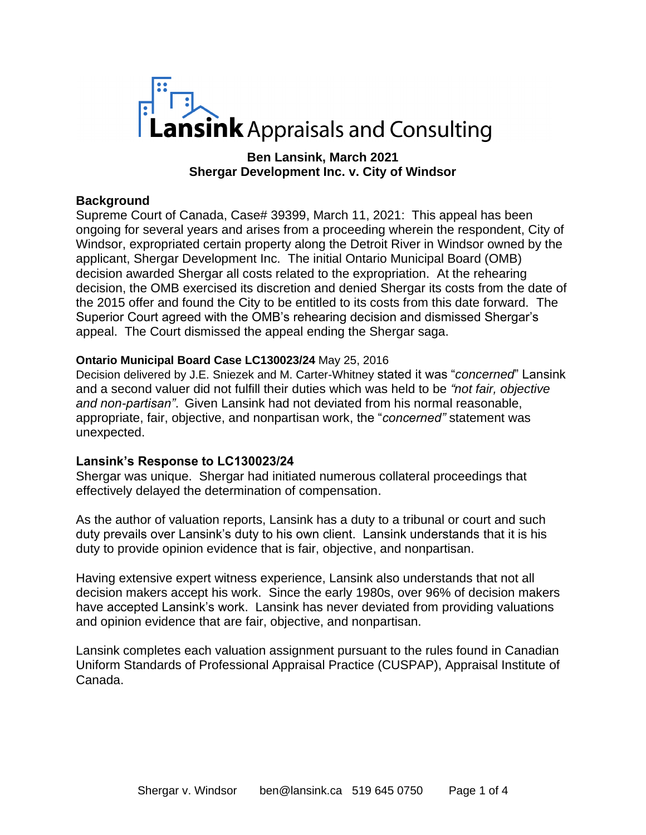

**Ben Lansink, March 2021 Shergar Development Inc. v. City of Windsor**

## **Background**

Supreme Court of Canada, Case# 39399, March 11, 2021: This appeal has been ongoing for several years and arises from a proceeding wherein the respondent, City of Windsor, expropriated certain property along the Detroit River in Windsor owned by the applicant, Shergar Development Inc. The initial Ontario Municipal Board (OMB) decision awarded Shergar all costs related to the expropriation. At the rehearing decision, the OMB exercised its discretion and denied Shergar its costs from the date of the 2015 offer and found the City to be entitled to its costs from this date forward. The Superior Court agreed with the OMB's rehearing decision and dismissed Shergar's appeal. The Court dismissed the appeal ending the Shergar saga.

### **Ontario Municipal Board Case LC130023/24** May 25, 2016

Decision delivered by J.E. Sniezek and M. Carter-Whitney stated it was "*concerned*" Lansink and a second valuer did not fulfill their duties which was held to be *"not fair, objective and non-partisan"*. Given Lansink had not deviated from his normal reasonable, appropriate, fair, objective, and nonpartisan work, the "*concerned"* statement was unexpected.

### **Lansink's Response to LC130023/24**

Shergar was unique. Shergar had initiated numerous collateral proceedings that effectively delayed the determination of compensation.

As the author of valuation reports, Lansink has a duty to a tribunal or court and such duty prevails over Lansink's duty to his own client. Lansink understands that it is his duty to provide opinion evidence that is fair, objective, and nonpartisan.

Having extensive expert witness experience, Lansink also understands that not all decision makers accept his work. Since the early 1980s, over 96% of decision makers have accepted Lansink's work. Lansink has never deviated from providing valuations and opinion evidence that are fair, objective, and nonpartisan.

Lansink completes each valuation assignment pursuant to the rules found in Canadian Uniform Standards of Professional Appraisal Practice (CUSPAP), Appraisal Institute of Canada.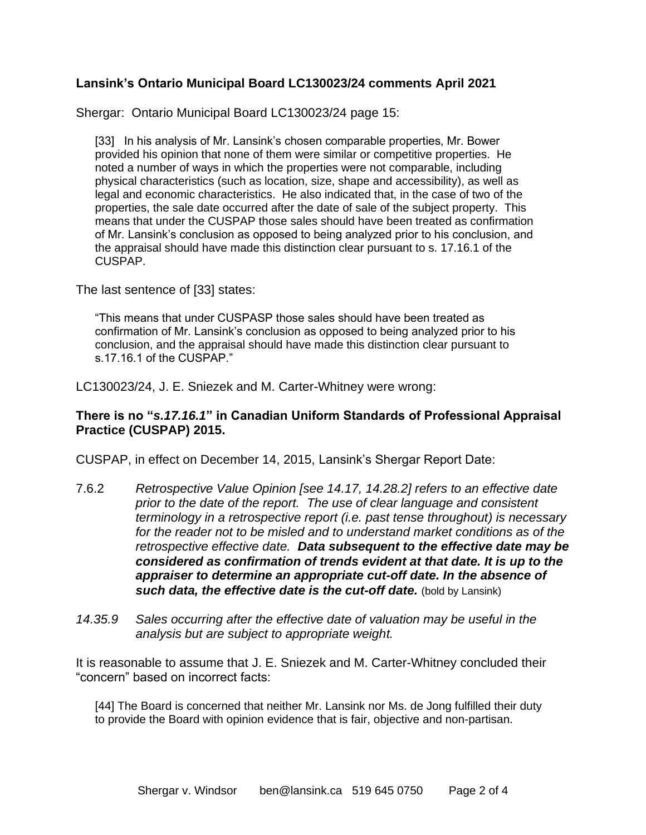# **Lansink's Ontario Municipal Board LC130023/24 comments April 2021**

Shergar: Ontario Municipal Board LC130023/24 page 15:

[33] In his analysis of Mr. Lansink's chosen comparable properties, Mr. Bower provided his opinion that none of them were similar or competitive properties. He noted a number of ways in which the properties were not comparable, including physical characteristics (such as location, size, shape and accessibility), as well as legal and economic characteristics. He also indicated that, in the case of two of the properties, the sale date occurred after the date of sale of the subject property. This means that under the CUSPAP those sales should have been treated as confirmation of Mr. Lansink's conclusion as opposed to being analyzed prior to his conclusion, and the appraisal should have made this distinction clear pursuant to s. 17.16.1 of the CUSPAP.

The last sentence of [33] states:

"This means that under CUSPASP those sales should have been treated as confirmation of Mr. Lansink's conclusion as opposed to being analyzed prior to his conclusion, and the appraisal should have made this distinction clear pursuant to s.17.16.1 of the CUSPAP."

LC130023/24, J. E. Sniezek and M. Carter-Whitney were wrong:

## **There is no "***s.17.16.1***" in Canadian Uniform Standards of Professional Appraisal Practice (CUSPAP) 2015.**

CUSPAP, in effect on December 14, 2015, Lansink's Shergar Report Date:

- 7.6.2 *Retrospective Value Opinion [see 14.17, 14.28.2] refers to an effective date prior to the date of the report. The use of clear language and consistent terminology in a retrospective report (i.e. past tense throughout) is necessary for the reader not to be misled and to understand market conditions as of the retrospective effective date. Data subsequent to the effective date may be considered as confirmation of trends evident at that date. It is up to the appraiser to determine an appropriate cut-off date. In the absence of such data, the effective date is the cut-off date.* (bold by Lansink)
- *14.35.9 Sales occurring after the effective date of valuation may be useful in the analysis but are subject to appropriate weight.*

It is reasonable to assume that J. E. Sniezek and M. Carter-Whitney concluded their "concern" based on incorrect facts:

[44] The Board is concerned that neither Mr. Lansink nor Ms. de Jong fulfilled their duty to provide the Board with opinion evidence that is fair, objective and non-partisan.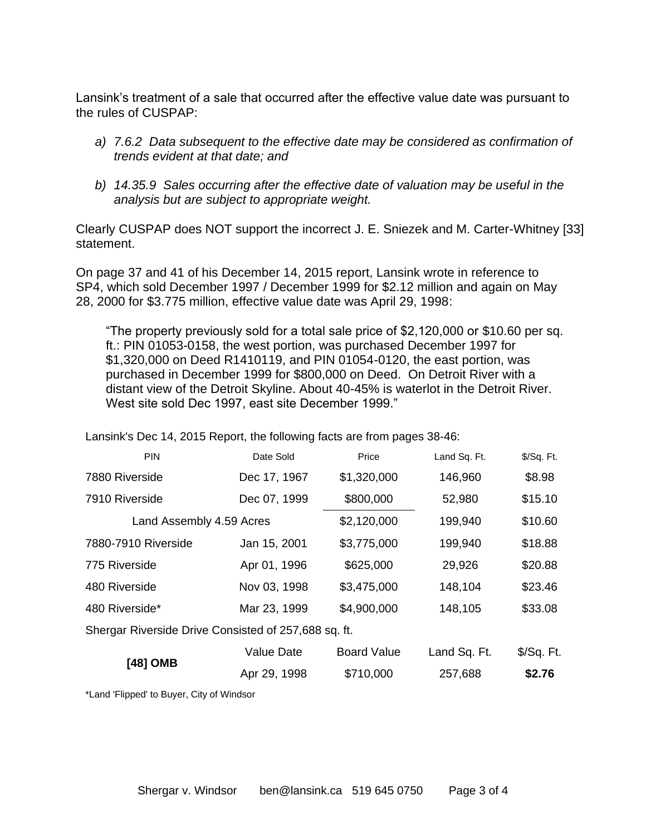Lansink's treatment of a sale that occurred after the effective value date was pursuant to the rules of CUSPAP:

- *a) 7.6.2 Data subsequent to the effective date may be considered as confirmation of trends evident at that date; and*
- *b) 14.35.9 Sales occurring after the effective date of valuation may be useful in the analysis but are subject to appropriate weight.*

Clearly CUSPAP does NOT support the incorrect J. E. Sniezek and M. Carter-Whitney [33] statement.

On page 37 and 41 of his December 14, 2015 report, Lansink wrote in reference to SP4, which sold December 1997 / December 1999 for \$2.12 million and again on May 28, 2000 for \$3.775 million, effective value date was April 29, 1998:

"The property previously sold for a total sale price of \$2,120,000 or \$10.60 per sq. ft.: PIN 01053-0158, the west portion, was purchased December 1997 for \$1,320,000 on Deed R1410119, and PIN 01054-0120, the east portion, was purchased in December 1999 for \$800,000 on Deed. On Detroit River with a distant view of the Detroit Skyline. About 40-45% is waterlot in the Detroit River. West site sold Dec 1997, east site December 1999."

| <b>PIN</b>                                           | Date Sold         | Price              | Land Sq. Ft. | \$/Sq. Ft. |
|------------------------------------------------------|-------------------|--------------------|--------------|------------|
| 7880 Riverside                                       | Dec 17, 1967      | \$1,320,000        | 146,960      | \$8.98     |
| 7910 Riverside                                       | Dec 07, 1999      | \$800,000          | 52,980       | \$15.10    |
| Land Assembly 4.59 Acres                             |                   | \$2,120,000        | 199,940      | \$10.60    |
| 7880-7910 Riverside                                  | Jan 15, 2001      | \$3,775,000        | 199,940      | \$18.88    |
| 775 Riverside                                        | Apr 01, 1996      | \$625,000          | 29,926       | \$20.88    |
| 480 Riverside                                        | Nov 03, 1998      | \$3,475,000        | 148,104      | \$23.46    |
| 480 Riverside*                                       | Mar 23, 1999      | \$4,900,000        | 148,105      | \$33.08    |
| Shergar Riverside Drive Consisted of 257,688 sq. ft. |                   |                    |              |            |
| [48] OMB                                             | <b>Value Date</b> | <b>Board Value</b> | Land Sq. Ft. | \$/Sq. Ft. |
|                                                      | Apr 29, 1998      | \$710,000          | 257,688      | \$2.76     |
|                                                      |                   |                    |              |            |

Lansink's Dec 14, 2015 Report, the following facts are from pages 38-46:

\*Land 'Flipped' to Buyer, City of Windsor